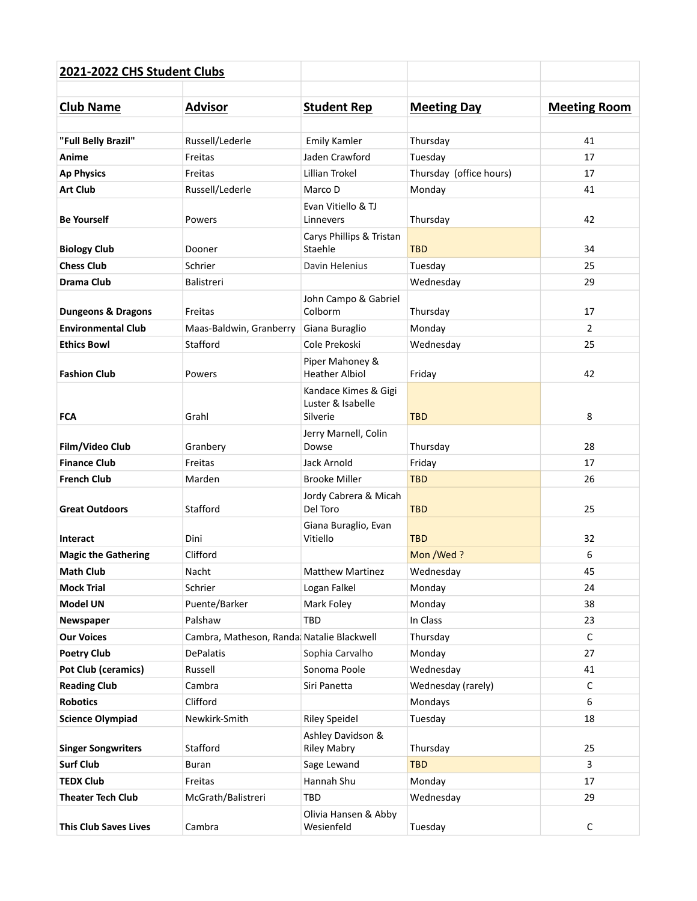| 2021-2022 CHS Student Clubs   |                                           |                                                       |                         |                     |
|-------------------------------|-------------------------------------------|-------------------------------------------------------|-------------------------|---------------------|
| <b>Club Name</b>              | <b>Advisor</b>                            | <b>Student Rep</b>                                    | <b>Meeting Day</b>      | <b>Meeting Room</b> |
| "Full Belly Brazil"           | Russell/Lederle                           | <b>Emily Kamler</b>                                   | Thursday                | 41                  |
| Anime                         | Freitas                                   | Jaden Crawford                                        | Tuesday                 | 17                  |
| <b>Ap Physics</b>             | Freitas                                   | Lillian Trokel                                        | Thursday (office hours) | 17                  |
| <b>Art Club</b>               | Russell/Lederle                           | Marco D                                               | Monday                  | 41                  |
| <b>Be Yourself</b>            | Powers                                    | Evan Vitiello & TJ<br>Linnevers                       | Thursday                | 42                  |
| <b>Biology Club</b>           | Dooner                                    | Carys Phillips & Tristan<br>Staehle                   | <b>TBD</b>              | 34                  |
| <b>Chess Club</b>             | Schrier                                   | Davin Helenius                                        | Tuesday                 | 25                  |
| <b>Drama Club</b>             | Balistreri                                |                                                       | Wednesday               | 29                  |
| <b>Dungeons &amp; Dragons</b> | Freitas                                   | John Campo & Gabriel<br>Colborm                       | Thursday                | 17                  |
| <b>Environmental Club</b>     | Maas-Baldwin, Granberry                   | Giana Buraglio                                        | Monday                  | $\overline{2}$      |
| <b>Ethics Bowl</b>            | Stafford                                  | Cole Prekoski                                         | Wednesday               | 25                  |
| <b>Fashion Club</b>           | Powers                                    | Piper Mahoney &<br><b>Heather Albiol</b>              | Friday                  | 42                  |
| <b>FCA</b>                    | Grahl                                     | Kandace Kimes & Gigi<br>Luster & Isabelle<br>Silverie | <b>TBD</b>              | 8                   |
| Film/Video Club               | Granbery                                  | Jerry Marnell, Colin<br>Dowse                         | Thursday                | 28                  |
| <b>Finance Club</b>           | Freitas                                   | Jack Arnold                                           | Friday                  | 17                  |
| <b>French Club</b>            | Marden                                    | <b>Brooke Miller</b>                                  | <b>TBD</b>              | 26                  |
| <b>Great Outdoors</b>         | Stafford                                  | Jordy Cabrera & Micah<br>Del Toro                     | <b>TBD</b>              | 25                  |
| Interact                      | Dini                                      | Giana Buraglio, Evan<br>Vitiello                      | <b>TBD</b>              | 32                  |
| <b>Magic the Gathering</b>    | Clifford                                  |                                                       | Mon /Wed?               | 6                   |
| <b>Math Club</b>              | Nacht                                     | <b>Matthew Martinez</b>                               | Wednesday               | 45                  |
| <b>Mock Trial</b>             | Schrier                                   | Logan Falkel                                          | Monday                  | 24                  |
| <b>Model UN</b>               | Puente/Barker                             | Mark Foley                                            | Monday                  | 38                  |
| Newspaper                     | Palshaw                                   | <b>TBD</b>                                            | In Class                | 23                  |
| <b>Our Voices</b>             | Cambra, Matheson, Randa Natalie Blackwell |                                                       | Thursday                | C                   |
| <b>Poetry Club</b>            | <b>DePalatis</b>                          | Sophia Carvalho                                       | Monday                  | 27                  |
| <b>Pot Club (ceramics)</b>    | Russell                                   | Sonoma Poole                                          | Wednesday               | 41                  |
| <b>Reading Club</b>           | Cambra                                    | Siri Panetta                                          | Wednesday (rarely)      | $\mathsf C$         |
| <b>Robotics</b>               | Clifford                                  |                                                       | Mondays                 | 6                   |
| <b>Science Olympiad</b>       | Newkirk-Smith                             | <b>Riley Speidel</b>                                  | Tuesday                 | 18                  |
| <b>Singer Songwriters</b>     | Stafford                                  | Ashley Davidson &<br><b>Riley Mabry</b>               | Thursday                | 25                  |
| <b>Surf Club</b>              | Buran                                     | Sage Lewand                                           | <b>TBD</b>              | 3                   |
| <b>TEDX Club</b>              | Freitas                                   | Hannah Shu                                            | Monday                  | 17                  |
| <b>Theater Tech Club</b>      | McGrath/Balistreri                        | <b>TBD</b>                                            | Wednesday               | 29                  |
| <b>This Club Saves Lives</b>  | Cambra                                    | Olivia Hansen & Abby<br>Wesienfeld                    | Tuesday                 | C                   |